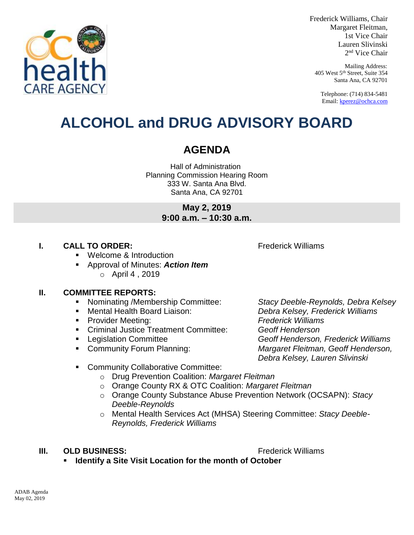

Frederick Williams, Chair Margaret Fleitman, 1st Vice Chair Lauren Slivinski 2 nd Vice Chair

Mailing Address: 405 West 5th Street, Suite 354 Santa Ana, CA 92701

Telephone: (714) 834-5481 Email[: kperez@ochca.com](mailto:kperez@ochca.com)

## **ALCOHOL and DRUG ADVISORY BOARD**

### **AGENDA**

Hall of Administration Planning Commission Hearing Room 333 W. Santa Ana Blvd. Santa Ana, CA 92701

> **May 2, 2019 9:00 a.m. – 10:30 a.m.**

#### **I. CALL TO ORDER:** Frederick Williams

Welcome & Introduction

 Approval of Minutes: *Action Item* o April 4 , 2019

#### **II. COMMITTEE REPORTS:**

- Nominating /Membership Committee: *Stacy Deeble-Reynolds, Debra Kelsey*
- 
- Provider Meeting: *Frederick Williams*
- Criminal Justice Treatment Committee: *Geoff Henderson*
- 
- 

 Mental Health Board Liaison: *Debra Kelsey, Frederick Williams* Legislation Committee *Geoff Henderson, Frederick Williams*  Community Forum Planning: *Margaret Fleitman, Geoff Henderson, Debra Kelsey, Lauren Slivinski*

- **EXECOMMUNITY Collaborative Committee:** 
	- o Drug Prevention Coalition: *Margaret Fleitman*
	- o Orange County RX & OTC Coalition: *Margaret Fleitman*
	- o Orange County Substance Abuse Prevention Network (OCSAPN): *Stacy Deeble-Reynolds*
	- o Mental Health Services Act (MHSA) Steering Committee: *Stacy Deeble-Reynolds, Frederick Williams*

#### **III. OLD BUSINESS:** The Contract of the Contract of Trederick Williams

**Identify a Site Visit Location for the month of October**